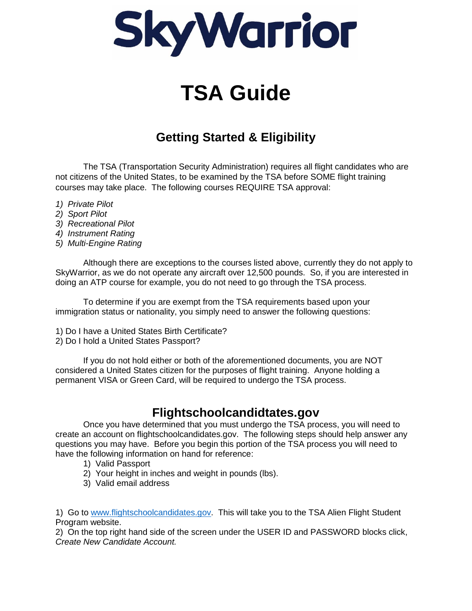

# **TSA Guide**

## **Getting Started & Eligibility**

The TSA (Transportation Security Administration) requires all flight candidates who are not citizens of the United States, to be examined by the TSA before SOME flight training courses may take place. The following courses REQUIRE TSA approval:

- *1) Private Pilot*
- *2) Sport Pilot*
- *3) Recreational Pilot*
- *4) Instrument Rating*
- *5) Multi-Engine Rating*

Although there are exceptions to the courses listed above, currently they do not apply to SkyWarrior, as we do not operate any aircraft over 12,500 pounds. So, if you are interested in doing an ATP course for example, you do not need to go through the TSA process.

To determine if you are exempt from the TSA requirements based upon your immigration status or nationality, you simply need to answer the following questions:

- 1) Do I have a United States Birth Certificate?
- 2) Do I hold a United States Passport?

If you do not hold either or both of the aforementioned documents, you are NOT considered a United States citizen for the purposes of flight training. Anyone holding a permanent VISA or Green Card, will be required to undergo the TSA process.

#### **Flightschoolcandidtates.gov**

Once you have determined that you must undergo the TSA process, you will need to create an account on flightschoolcandidates.gov. The following steps should help answer any questions you may have. Before you begin this portion of the TSA process you will need to have the following information on hand for reference:

- 1) Valid Passport
- 2) Your height in inches and weight in pounds (lbs).
- 3) Valid email address

1) Go to [www.flightschoolcandidates.gov.](http://www.flightschoolcandidates.gov/) This will take you to the TSA Alien Flight Student Program website.

2) On the top right hand side of the screen under the USER ID and PASSWORD blocks click, *Create New Candidate Account.*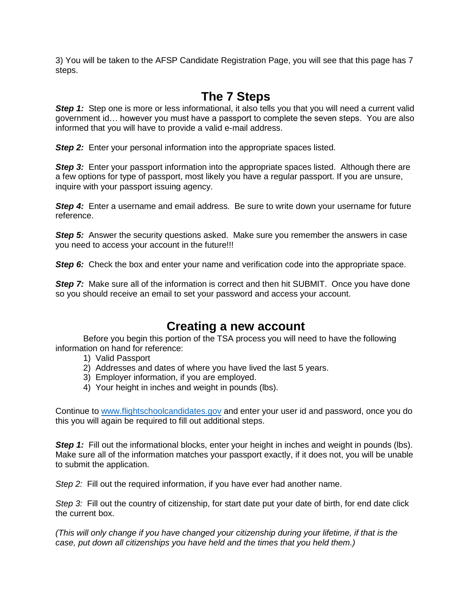3) You will be taken to the AFSP Candidate Registration Page, you will see that this page has 7 steps.

#### **The 7 Steps**

**Step 1:** Step one is more or less informational, it also tells you that you will need a current valid government id… however you must have a passport to complete the seven steps. You are also informed that you will have to provide a valid e-mail address.

*Step 2:* Enter your personal information into the appropriate spaces listed.

*Step 3:* Enter your passport information into the appropriate spaces listed. Although there are a few options for type of passport, most likely you have a regular passport. If you are unsure, inquire with your passport issuing agency.

**Step 4:** Enter a username and email address. Be sure to write down your username for future reference.

**Step 5:** Answer the security questions asked. Make sure you remember the answers in case you need to access your account in the future!!!

**Step 6:** Check the box and enter your name and verification code into the appropriate space.

**Step 7:** Make sure all of the information is correct and then hit SUBMIT. Once you have done so you should receive an email to set your password and access your account.

#### **Creating a new account**

Before you begin this portion of the TSA process you will need to have the following information on hand for reference:

- 1) Valid Passport
- 2) Addresses and dates of where you have lived the last 5 years.
- 3) Employer information, if you are employed.
- 4) Your height in inches and weight in pounds (lbs).

Continue to [www.flightschoolcandidates.gov](http://www.flightschoolcandidates.gov/) and enter your user id and password, once you do this you will again be required to fill out additional steps.

**Step 1:** Fill out the informational blocks, enter your height in inches and weight in pounds (lbs). Make sure all of the information matches your passport exactly, if it does not, you will be unable to submit the application.

*Step 2:* Fill out the required information, if you have ever had another name.

*Step 3:* Fill out the country of citizenship, for start date put your date of birth, for end date click the current box.

*(This will only change if you have changed your citizenship during your lifetime, if that is the case, put down all citizenships you have held and the times that you held them.)*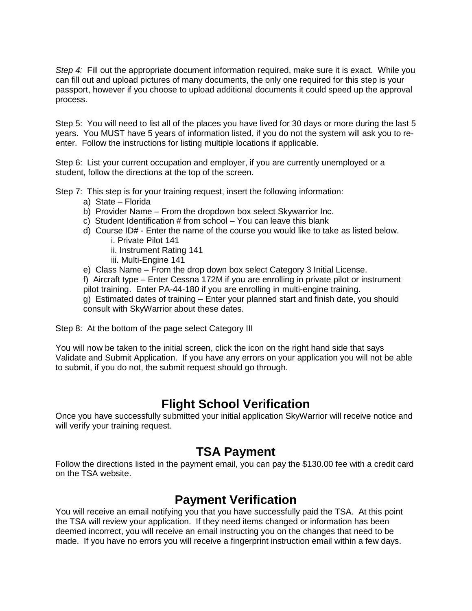*Step 4:* Fill out the appropriate document information required, make sure it is exact. While you can fill out and upload pictures of many documents, the only one required for this step is your passport, however if you choose to upload additional documents it could speed up the approval process.

Step 5: You will need to list all of the places you have lived for 30 days or more during the last 5 years. You MUST have 5 years of information listed, if you do not the system will ask you to reenter. Follow the instructions for listing multiple locations if applicable.

Step 6: List your current occupation and employer, if you are currently unemployed or a student, follow the directions at the top of the screen.

Step 7: This step is for your training request, insert the following information:

- a) State Florida
- b) Provider Name From the dropdown box select Skywarrior Inc.
- c) Student Identification # from school You can leave this blank
- d) Course ID# Enter the name of the course you would like to take as listed below.
	- i. Private Pilot 141
	- ii. Instrument Rating 141
	- iii. Multi-Engine 141
- e) Class Name From the drop down box select Category 3 Initial License.

f) Aircraft type – Enter Cessna 172M if you are enrolling in private pilot or instrument pilot training. Enter PA-44-180 if you are enrolling in multi-engine training.

g) Estimated dates of training – Enter your planned start and finish date, you should consult with SkyWarrior about these dates.

Step 8: At the bottom of the page select Category III

You will now be taken to the initial screen, click the icon on the right hand side that says Validate and Submit Application. If you have any errors on your application you will not be able to submit, if you do not, the submit request should go through.

#### **Flight School Verification**

Once you have successfully submitted your initial application SkyWarrior will receive notice and will verify your training request.

#### **TSA Payment**

Follow the directions listed in the payment email, you can pay the \$130.00 fee with a credit card on the TSA website.

#### **Payment Verification**

You will receive an email notifying you that you have successfully paid the TSA. At this point the TSA will review your application. If they need items changed or information has been deemed incorrect, you will receive an email instructing you on the changes that need to be made. If you have no errors you will receive a fingerprint instruction email within a few days.